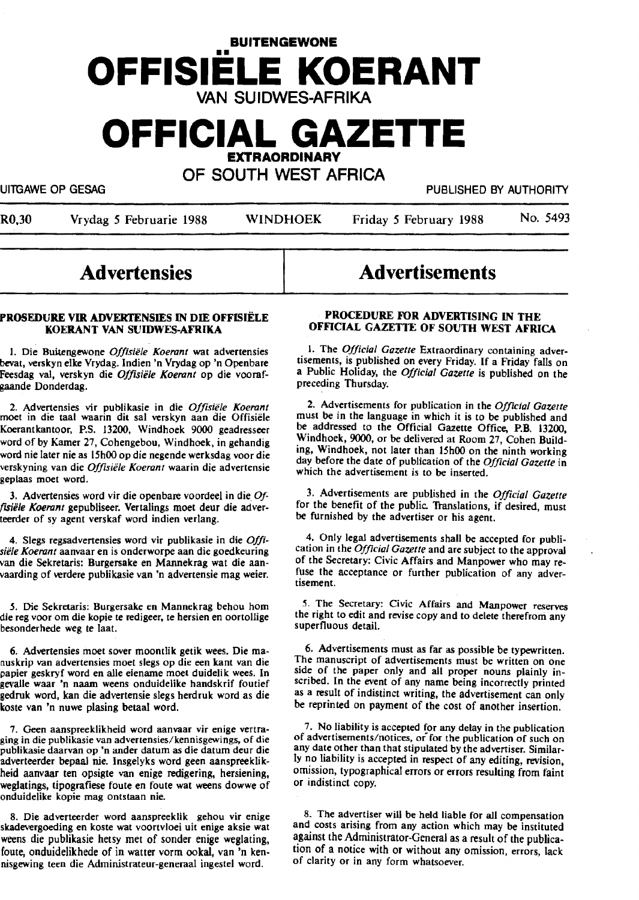# **BUITENGEWONE OFFISIELE KOERANT**  VAN SUIDWES-AFRIKA

## **OFFICIAL GAZETTE EXTRAORDINARY**

OF SOUTH WEST AFRICA

UITGAWE OP GESAG PUBLISHED BY AUTHORITY

| R0,30 |  | Vrydag 5 Februarie 1988 |  |
|-------|--|-------------------------|--|
|-------|--|-------------------------|--|

R0.30 Vrydag *S* Februarie 1988 WINDHOEK Friday *S* February 1988 No. 5493

### **Advertensies**

#### **PROSEDURE VIR ADVEKJ'ENSIES** IN **DIE OFFISIELE ltOERANT VAN SUIOWES-AFRIKA**

1. Die Buitengewone *Offisiële Koerant* wat advertensies bevat, verskyn elke Vrydag. Indien 'n Vrydag op 'n Openbare Feesdag val, verskyn die *O//isiile Koerant* op die voorafgaande Donderdag.

2. Advertensies vir publikasie in die *Offisiile Koerant*  moet in die taal waarin dit sal verskyn aan die Offisiele Koerantkantoor, P.S. 13200, Windhoek 9000 geadresseer word of by Kamer 27, Cohengebou, Windhoek, in gehandig word nie later nie as 15h00 op die negende werksdag voor die verskyning van die *Offislile Koerant* waarin die advertensie geplaas moet word.

3. Advertensies word vir die openbare voordeel in die *Off,siile Koerant* gepubliseer. Vertalings moet deur die aciverteerder of sy agent verskaf word indien verlang.

4. Slegs regsadvertensies word vir publikasie in die Offi*siele Koerant* aanvaar en is onderworpe aan die goedkeuring van die Sekretaris: Burgersake en Mannekrag wat die aanvaarding of verdere publikasie van 'n advertensie mag weier.

*.S.* Die Sekretaris: Burgersake en Mannekrag behou horn die reg voor om die kopie te redigeer, te hersien en oortollige besonderhede weg te laat.

6. Advertensies moet sover moontlik getik wees. Die manuskrip van advertensies moet slegs op die een kant van die papier geskryf word en alle eiename moet duidelik wees. In gevaJle waar 'n naam weens onduidelike handskrif foutief gedruk word, kan die advertensie slegs herdruk word as die koste van 'n nuwe plasing betaal word.

7. Geen aanspreeklikheid word aanvaar vir enige vertraging in die publikasie van advertensies/kennisgewings, of die publikasie daarvan op 'n ander datum as die datum deur die adverteerder bepaal nie. lnsgelyks word geen aanspreeklikheid aanvaar ten opsigte van enige redigering, herslening, weglatings, tipografiese foute en foute wat weens dowwe of onduidelike kopie mag ontstaan nie.

8. Die adverteerder word aanspreeklik gehou vir enige skadevergoeding en koste wat voortvloei uit enige aksie wat weens die publikasie hetsy met of sonder enige weglating, foute, onduidelikhede of in watter vorm ookal, van 'n kennisgewing teen die Administrateur-generaal ingestel word.

# Advertisements

#### **PROCEDURE FOR ADVERTISING IN THE OFFICIAL GAZETTE OF SOUTH WEST AFRICA**

1. The *Official Gazette* Extraordinary containing advertisements, 1s published on every Friday. If a Friday falls on a Public Holiday, the *Official Gazette* is published on the preceding Thursday.

2. Advertisements for publication in the *Official Gazette*  must be in the language in which it is to be published and be addressed to the Official Gazette Office, P.B. 13200 Windhoek, 9000, or be delivered at Room 27, Cohen Build: ing, Windhoek, not later than 15h00 on the ninth working day before the date of publication of the *Official Gazette* in which the advertisement is to be inserted.

3. Advertisements are published in the *Official Gazette*  for the benefit of the public. Translations, if desired, must be furnished by the advertiser or his agent.

4. Only legal advertisements shall be accepted for publication in the *Official Gazette* and are subject to the approval of the Secretary: Civic Affairs and Manpower who may refuse the acceptance or further publication of any advertisement.

5. The Secretary: Civic Affairs and Manpower reserves the right to edit and revise copy and to delete therefrom any superfluous detail.

6. Advertisements must as far as possible be typewritten. The manuscript of advertisements must be written on one side of the paper only and all proper nouns plainly inscribed. In the event of any name being incorrectly printed as a result of indistinct writing, the advertisement can only be reprinted on payment of the cost of another insertion.

7. No liability is accepted for any delay in the publication of advertisements/notices, or for the publication of such on any date other than that stipulated by the advertiser. Similarly no liability is accepted in respect of any editing, revision, omission, typographical errors or errors resulting from faint or indistinct copy.

8. The advertiser will be held liable for all compensation and costs arising from any action which may be instituted against the Administrator-General as a result of the publication of a notice with or without any omission, errors, lack of clarity or in any form whatsoever.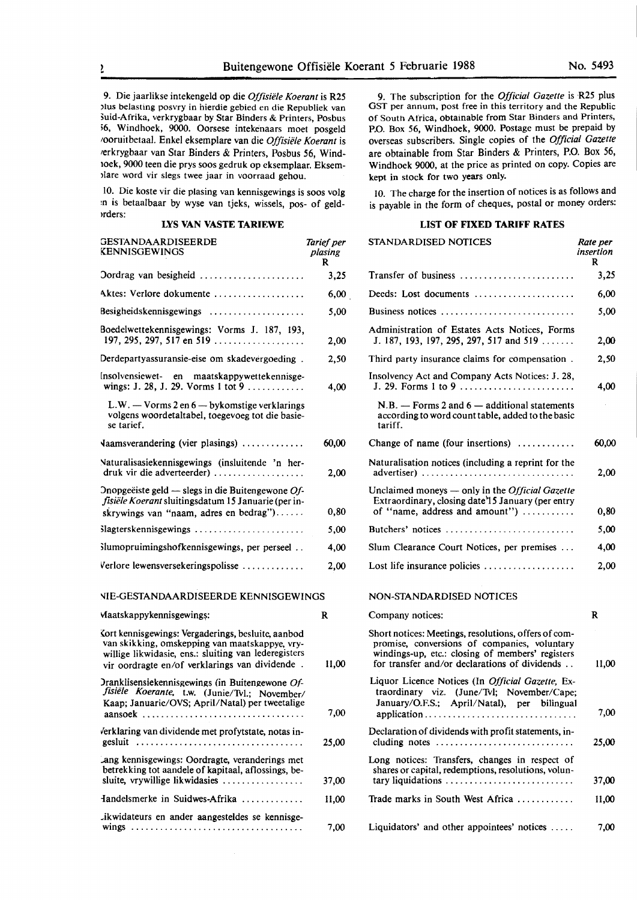9. Die jaarlikse intekengeld op die *Offisiele Koerant* is **R25**  )!us belasting posvry in hierdie gebied en die Republiek van šuid-Afrika, verkrygbaar by Star Binders & Printers, Posbus <sup>56</sup>, Windhoek, 9000. Oorsese intekenaars moet posgeld 1ooruitbetaal. Enkel eksemplare van die *Offisiele Koerant* is 1erkrygbaar van Star Binders & Printers, Posbus *56,* Wind-1oek, 9000 teen die prys soos gedruk op eksemplaar. Eksem- >lare word vir slegs twee jaar in voorraad gehou.

10. Die koste vir die plasing van kennisgewings is soos volg :n is betaalbaar by wyse van tjeks, wissels, pos- of geld- >rders:

#### **LYS VAN VASTE TARIEWE**

| GESTANDAARDISEERDE<br>KENNISGEWINGS                                                                                                                  | Tarief per<br>plasing<br>R |
|------------------------------------------------------------------------------------------------------------------------------------------------------|----------------------------|
| Oordrag van besigheid                                                                                                                                | 3,25                       |
| Aktes: Verlore dokumente                                                                                                                             | 6,00                       |
| Besigheidskennisgewings                                                                                                                              | 5,00                       |
| Boedelwettekennisgewings: Vorms J. 187, 193,<br>197, 295, 297, 517 en 519                                                                            | 2,00                       |
| Derdepartyassuransie-eise om skadevergoeding.                                                                                                        | 2,50                       |
| Insolvensiewet- en maatskappywettekennisge-                                                                                                          | 4,00                       |
| $L.W. - V \text{orms } 2 \text{ en } 6 - \text{bykomstige verklarings}$<br>volgens woordetaltabel, toegevoeg tot die basie-<br>se tarief.            |                            |
| Vaamsverandering (vier plasings)                                                                                                                     | 60,00                      |
| Naturalisasiekennisgewings (insluitende 'n her-<br>$druk$ vir die adverteerder)                                                                      | 2,00                       |
| Onopgeëiste geld — slegs in die Buitengewone $Of$ -<br>fișiële Koerant sluitingsdatum 15 Januarie (per in-<br>skrywings van "naam, adres en bedrag") | 0,80                       |
| Slagterskennisgewings                                                                                                                                | 5,00                       |
| Slumopruimingshofkennisgewings, per perseel                                                                                                          | 4,00                       |
| Verlore lewensversekeringspolisse                                                                                                                    | 2,00                       |
| NIE-GESTANDAARDISEERDE KENNISGEWINGS                                                                                                                 |                            |
| Maatskappykennisgewings:                                                                                                                             | R                          |
| Cort kennisgewings. Vergaderings, besluite, aanhod                                                                                                   |                            |

{ort kennisgewings: Vergaderings, besluite, aanbod van skikking, omskepping van maatskappye, vrywillige likwidasie, ens.: sluiting van lederegisters vir oordragte en/of verklarings van dividende . )ranklisensiekennisgewings (in Buitengewone Of*fisiele Koerante,* t.w. (Junie/Tu!.; November/ Kaap; Januarie/OVS; April/Natal) per tweetalige

aansoek ................................. . erklaring van dividende met profytstate, notas ingesluit .................................. . Lang kennisgewings: Oordragte, veranderings met betrekking tot aandele of kapitaal, aflossings, besluite, vrywillige likwidasies .................. fandelsmerke in Suidwes-Afrika ............ .

Jkwidateurs en ander aangesteldes se kennisgewings ................................... .

9. The subscription for the *Official Gazette* is R25 plus OST per annum, post free in this territory and the Republic of South Africa, obtainable from Star Binders and Printers, P.O. Box 56, Windhoek, 9000. Postage must be prepaid by overseas subscribers. Single copies of the *Official Gazette*  are obtainable from Star Binders & Printers, P.O. Box 56, Windhoek 9000, at the price as printed on copy. Copies are kept in stock for two **years** only.

10. The charge for the insertion of notices is as follows and is payable in the form of cheques, postal or money orders:

#### **LIST OF FIXED TARIFF RATES**

| ef per<br>ising<br>R | <b>STANDARDISED NOTICES</b>                                                                                                                                                                               | Rate per<br>insertion<br>R |
|----------------------|-----------------------------------------------------------------------------------------------------------------------------------------------------------------------------------------------------------|----------------------------|
| 3,25                 | Transfer of business                                                                                                                                                                                      | 3,25                       |
| 6,00                 | Deeds: Lost documents                                                                                                                                                                                     | 6,00                       |
| 5,00                 | Business notices                                                                                                                                                                                          | 5,00                       |
| 2,00                 | Administration of Estates Acts Notices, Forms<br>J. 187, 193, 197, 295, 297, 517 and 519                                                                                                                  | 2,00                       |
| 2,50                 | Third party insurance claims for compensation.                                                                                                                                                            | 2,50                       |
| 4,00                 | Insolvency Act and Company Acts Notices: J. 28,<br>J. 29. Forms 1 to 9                                                                                                                                    | 4,00                       |
|                      | $N.B. -$ Forms 2 and 6 - additional statements<br>according to word count table, added to the basic<br>tariff.                                                                                            |                            |
| 60,00                | Change of name (four insertions)                                                                                                                                                                          | 60,00                      |
| 2,00                 | Naturalisation notices (including a reprint for the<br>advertiser)                                                                                                                                        | 2.00                       |
| 0,80                 | Unclaimed moneys - only in the Official Gazette<br>Extraordinary, closing date 15 January (per entry<br>of "name, address and amount")                                                                    | 0,80                       |
| 5,00                 | Butchers' notices                                                                                                                                                                                         | 5,00                       |
| 4,00                 | Slum Clearance Court Notices, per premises                                                                                                                                                                | 4,00                       |
| 2,00                 | Lost life insurance policies                                                                                                                                                                              | 2,00                       |
| 5                    | NON-STANDARDISED NOTICES                                                                                                                                                                                  |                            |
| R                    | Company notices:                                                                                                                                                                                          | R                          |
| 11,00                | Short notices: Meetings, resolutions, offers of com-<br>promise, conversions of companies, voluntary<br>windings-up, etc.: closing of members' registers<br>for transfer and/or declarations of dividends | 11,00                      |
| 7,00                 | Liquor Licence Notices (In Official Gazette, Ex-<br>traordinary viz. (June/Tvl; November/Cape;<br>January/O.F.S.; April/Natal), per bilingual<br>application.                                             | 7,00                       |
| 25,00                | Declaration of dividends with profit statements, in-<br>cluding notes $\dots\dots\dots\dots\dots\dots\dots\dots\dots\dots\dots$                                                                           | 25,00                      |
|                      | Long notices: Transfers, changes in respect of<br>shares or capital, redemptions, resolutions, volun-                                                                                                     |                            |
| 37,00                | tary liquidations                                                                                                                                                                                         | 37,00                      |
| 11,00                | Trade marks in South West Africa                                                                                                                                                                          | 11,00                      |
| 7,00                 | Liquidators' and other appointees' notices                                                                                                                                                                | 7,00                       |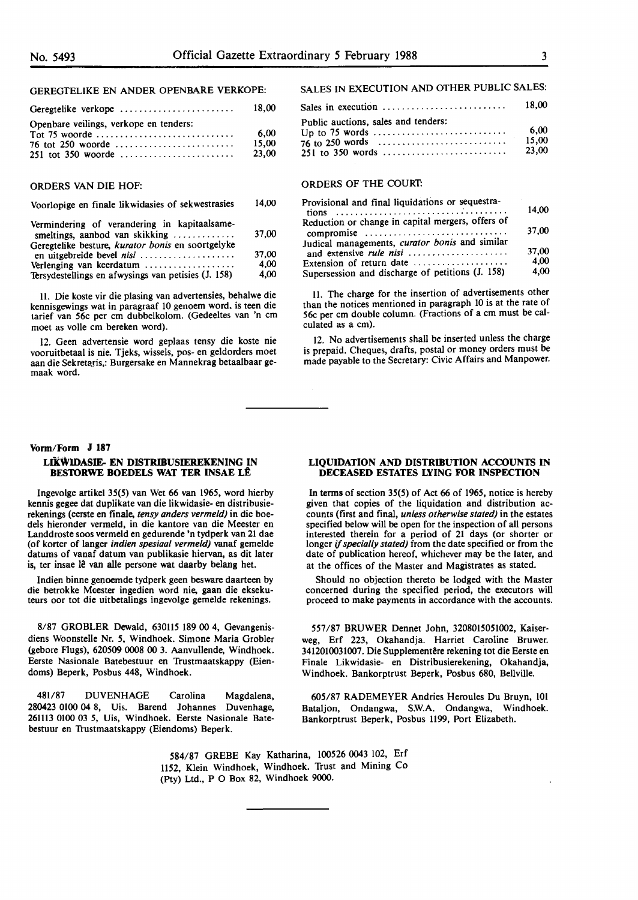#### GEREGTELIKE EN ANDER OPENBARE VERKOPE:

| Geregtelike verkope                    | 18.00 |
|----------------------------------------|-------|
| Openbare veilings, verkope en tenders: |       |
|                                        | 6.00  |
|                                        | 15.00 |
|                                        | 23.00 |

#### ORDERS VAN DIE HOF:

#### Voorlopige en finale likwidasies of sekwestrasies 14,00

| Vermindering of verandering in kapitaalsame-<br>smeltings, aanbod van skikking $\ldots$ | 37,00 |
|-----------------------------------------------------------------------------------------|-------|
| Geregtelike besture, kurator bonis en soortgelyke<br>en uitgebreide bevel nisi          | 37,00 |
| Verlenging van keerdatum                                                                | 4.00  |
| Tersydestellings en afwysings van petisies (J. 158)                                     | 4.00  |

JI. Die koste vir die plasing van advertensies, behalwe die kennisgewings wat in paragraaf 10 genoem word. is teen die tarief van 56c per cm dubbelkolom. (Gedeeltes van 'n cm moet as volle cm bereken word).

12. Geen advertensie word geplaas tensy die koste nie vooruitbetaal is nie. Tjeks, wissels, pos- en geldorders moet aan die Sekretaris,: Burgersake en Mannekrag betaalbaar gemaak word.

#### **Vorm/Form J 187**

#### **LIKWIDASIE- EN DISTRIBUSIEREKENING IN BES10RWE BOEDELS WAT TER INSAE LE**

Ingevolge artikel 35(5) van Wet 66 van 1965, word hierby kennis gegee dat duplikate van die likwidasie- en distribusierekenings (eerste en finale, *tensy anders vermeld)* in die boedels hieronder vermeld, in die kantore van die Meester en Landdroste soos vermeld en gedurende 'n tydperk van 21 dae (of korter of !anger *indien spesiaal vermeld)* vanaf gemelde datums of vanaf datum van publikasie hiervan, as dit later is, ter insae lê van alle persone wat daarby belang het.

lndien binne genoemde tydperk geen besware daarteen by die betrokke Meester ingedien word nie, gaan die eksekuteurs oor tot die uitbetalings ingevolge gemelde rekenings.

8/87 GROBLER Dewald, 630115 189 00 4, Gevangenisdiens Woonstelle Nr. *5,* Windhoek. Simone Maria Grobler (gebore Flugs), 620509 0008 00 3. Aanvullende, Windhoek. Eerste Nasionale Batebestuur en Trustmaatskappy (Eiendoms) Beperk, Posbus 448, Windhoek.

481/87 DUVENHAGE Carolina Magdalena, 280423 0100 04 8, Uis. Barend Johannes Duvenhage, 261113 0100 03 5, Uis, Windhoek. Eerste Nasionale Batebestuur en Trustmaatskappy (Eiendoms) Beperk.

#### SALES IN EXECUTION AND OTHER PUBLIC SALES:

|                                     | 18.00 |
|-------------------------------------|-------|
| Public auctions, sales and tenders: |       |
|                                     | 6.00  |
|                                     | 15.00 |
|                                     | 23.00 |
|                                     |       |

#### ORDERS **OF THE** COURT:

| Provisional and final liquidations or sequestra-  |       |
|---------------------------------------------------|-------|
|                                                   | 14.00 |
| Reduction or change in capital mergers, offers of |       |
| compromise                                        | 37,00 |
| Judical managements, curator bonis and similar    |       |
| and extensive <i>rule nisi</i>                    | 37.00 |
| Extension of return date                          | 4.00  |
| Supersession and discharge of petitions (J. 158)  | 4,00  |

11. The charge for the insertion of advertisements other than the notices mentioned in paragraph 10 is at the rate of 56c per cm double column. (Fractions of a cm must be calculated as a cm).

12. No advertisements shall be inserted unless the charge is prepaid. Cheques, drafts, postal or money orders must be made payable to the Secretary: Civic Affairs and Manpower.

#### **LIQUIDATION AND DISTRIBUTION ACCOUNTS IN DECEASED ESTATES LYING FOR INSPECTION**

In terms of section 35(5) of Act 66 of 1965, notice is hereby given that copies of the liquidation and distribution accounts (first and final, *unless otherwise stated)* in the estates specified below will be open for the inspection of all persons interested therein for a period of 21 days (or shorter or longer if *specially stated)* from the date specified or from the date of publication hereof, whichever may be the later, and at the offices of the Master and Magistrates as stated.

Should no objection thereto be lodged with the Master concerned during the specified period, the executors will proceed to make payments in accordance with the accounts.

557/87 BRUWER Dennet John, 3208015051002, Kaiserweg, Erf 223, Okahandja. Harriet Caroline Bruwer. 3412010031007. Die Supplementêre rekening tot die Eerste en **Finale** Likwidasie- en Distribusierekening, Okahandja, Windhoek. Bankorptrust Beperk, Posbus 680, Bellville.

605/87 RADEMEYER Andries Heroules Du Bruyn, 101 Bataljon, Ondangwa, **S.W.A.** Ondangwa, Windhoek. Bankorptrust Beperk, Posbus **1199,** Port Elizabeth.

584/87 GREBE Kay Katharina, 100526 0043 102, Erf 1152, Klein Windhoek, Windhoek. Trust and Mining Co (Pty) Ltd., P O Box 82, Windhoek 9000.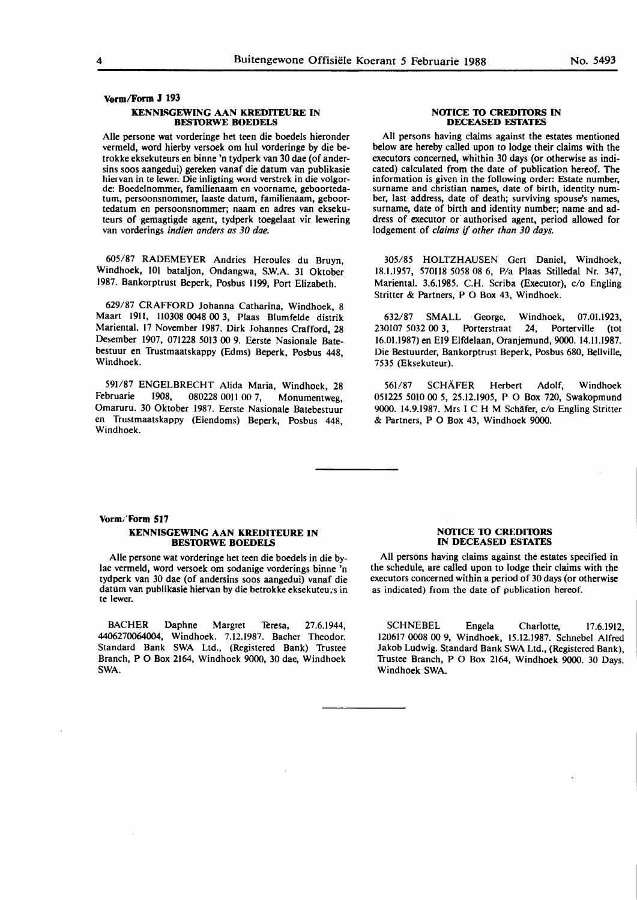#### **Vorm/Form J 193**

#### **KENNISGEWING AAN KREDITEURE IN BESTORWE BOEDELS**

Alie persone wat vorderinge bet teen die boedels hieronder vermeld, word hierby versoek om hul vorderinge by die betrokke eksekuteurs en binne 'n tydperk van 30 dae (of andersins soos aangedui) gereken vanaf die datum van publikasie hiervan in te lewer. Die inligting word verstrek in die volgorde: Boedelnommer, familienaam en voorname, geboortedatuni, persoonsnommer, laaste datum, familienaam, geboortedatum en persoonsnommer; naam en adres van eksekuteurs of gemagtigde agent, tydperk toegelaat vir lewering van vorderings *indien anders as 30 dae.* 

605/87 RADEMEYER Andries Heroules du Bruyn, Windhoek, IOI bataljon, Ondangwa, S.W.A. 31 Oktober 1987. Bankorptrust Beperk, Posbus 1199, Port Elizabeth.

629/87 CRAFFORD Johanna Catharina, Windhoek, 8 Maart 1911, 110308 0048 00 3, Plaas Blumfelde distrik Mariental. 17 November 1987. Dirk Johannes Crafford, 28 Desember 1907, 071228 5013 00 9. Eerste Nasionale Batebestuur en Trustmaatskappy (Edms) Beperk, Posbus 448, Windhoek.

591/87 ENGELBRECHT Alida Maria, Windhoek, 28<br>Februarie 1908. 080228 0011 00.7 Monumentweg 080228 0011 00 7, Monumentweg, Omaruru. 30 Oktober 1987. Eerste Nasionale Batebestuur en Trustmaatskappy {Eiendoms) Beperk, Posbus 448, Windhoek.

#### **NOTICE TO CREDITORS IN DECEASED ESTATES**

All persons having claims against the estates mentioned below are hereby called upon to lodge their claims with the executors concerned, whithin 30 days (or otherwise as indicated) calculated from the date of publication hereof. The information is given in the following order: Estate number, surname and christian names, date of birth, identity num-<br>ber, last address, date of death; surviving spouse's names, surname, date of birth and identity number; name and address of executor or authorised agent, period allowed for lodgement of *claims* if *other than 30 days.* 

305/85 HOLTZHAUSEN Gert Daniel, Windhoek, 18.1.1957, 570118 *5058* 08 6, P/a Plaas Stilledal Nr. 347, Mariental. 3.6.1985. C.H. Scriba (Executor), c/o Engling Stritter & Partners, P O Box 43, Windhoek.

632/87 SMALL George, Windhoek, 07.01.1923, 230107 5032 00 3, Porterstraat 24, Porterville (tot 16.01.1987) en El9 Elfdelaan, Oranjemund, 9000. 14.11.1987. Die Bestuurder, Bankorptrust Beperk, Posbus 680, Bellville, 7535 {Eksekuteur).

561/87 SCHAFER Herbert Adolf, Windhoek *051225 5010* 00 *5, 25.12.1905,* P O Box 720, Swakopmund 9000. 14.9.1987. Mrs I C H M Schäfer, c/o Engling Stritter & Partners, **P** O Box 43, Windhoek 9000.

### **Vonn/ Form 517**

#### **KENNISGEWING AAN KREDITEURE IN BESTORWE BOEDELS**

Alie persone wat vorderinge het teen die boedels in die bylae vermeld, word versoek om sodanige vorderings binne 'n tydperk van 30 dae (of andersins soos aangedui) vanaf die datum van publikasie hiervan by die betrokke eksekuteu.s in te lewer.

BACHER Daphne Margret Teresa, 27.6.1944, 4406270064004, Windhoek. 7.12.1987. Bacher Theodor. Standard Bank SWA Ltd., {Registered Bank) Trustee Branch, P O Box 2164, Windhoek 9000, 30 dae, Windhoek SWA.

#### **NOTICE TO CREDITORS IN DECEASED ESTATES**

All persons having claims against the estates specified in the schedule, are called upon to lodge their claims with the executors concerned within a period of 30 days (or otherwise as indicated) from the date of publication hereof.

SCHNEBEL Engela Charlotte, 17.6.1912, 120617 **0008 00** 9, Windhoek, 15.12.1987. Schnebel Alfred Jakob Ludwig. Standard Bank SWA Ltd., {Registered Bank), Trustee Branch, P O Box 2164, Windhoek 9000. 30 Days. Windhoek SWA.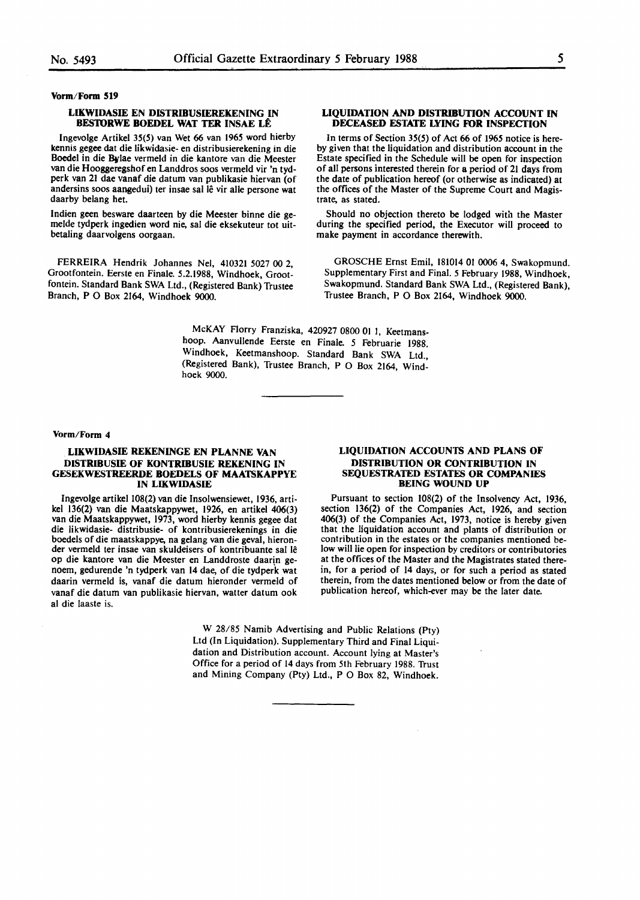#### **Vorm/Form 519**

#### **LIKWIDASIE EN DISTRIBUSIEREKENING IN BESTORWE BOEDEL WAT TER INSAE LÊ**

Ingevolge Artikel 35(5) van Wet 66 van 1965 word hierby kennis gegee dat die Iikwidasie- en distribusierekening in die Boedel in die Bylae vermeld in die kantore van die Meester van die Hooggeregshof en Landdros soos vermeld vir 'n tydperk van **21** dae vanaf die datum van publikasie hiervan (of andersins soos aangedui) ter insae sal lê vir alle persone wat daarby belang het.

Indien **geen** besware daarteen by die Meester binne die gemelde tydperk ingedien word nie, sal die eksekuteur tot uitbetaling daarvolgens oorgaan.

FERREIRA Hendrik Johannes Nel, 410321 5027 00 2, Grootfontein. Eerste en Finale. 5.2.1988, Windhoek, Grootfontein. Standard Bank SWA Ltd., (Registered Bank) Trustee Branch, PO Box 2164, Windhoek 9000.

#### **LIQUIDATION AND DISTRIBUTION ACCOUNT IN DECEASED ESTATE LYING FOR INSPECTION**

In terms of Section  $35(5)$  of Act 66 of 1965 notice is hereby given that the liquidation and distribution account in the Estate specified in the Schedule will be open for inspection of all persons interested therein for a period of 21 days from the date of publication hereof (or otherwise as indicated) at the offices of the Master of the Supreme Court and Magistrate, as stated.

Should no objection thereto be lodged with the Master during the specified period, the Executor will proceed to make payment in accordance therewith.

GROSCHE Ernst Emil, 181014 01 0006 4, Swakopmund. Supplementary First and Final. 5 February 1988, Windhoek, Swakopmund. Standard Bank SWA Ltd., (Registered Bank), Trustee Branch, P O Box 2164, Windhoek 9000.

McKAY Florry Franziska, 420927 0800 01 1, Keetmanshoop. Aanvullende Eerste en Finale. *5* Februarie 1988. Windhoek, Keetmanshoop. Standard Bank SWA Ltd., (Registered Bank), Trustee Branch, P O Box 2164, Windhoek 9000.

**Vorm/Form** 4

#### **LIKWIDASIE REKENINGE EN PLANNE VAN DISTRIBUSIE OF KONTRIBUSIE REKENING IN GESEKWESTREERDE BOEDELS OF MAATSKAPPYE IN LIKWIDASIE**

lngevolge artikel 108(2) van die Insolwensiewet, 1936, artikel 136(2) van die Maatskappywet, 1926, en artikel 406(3) van die Maatskappywet, 1973, word hierby kennis gegee dat die likwidasie- distribusie- of kontribusierekenings in die boedels of die maatskappye, na gelang van die geval, hieronder vermeld ter insae van skuldeisers of kontribuante sal le op die kantore van die Meester en Landdroste daarin **ge**noem, gedurende 'n tydperk van 14 dae, of die tydperk wat daarin vermeld is, vanaf die datum hieronder vermeld of vanaf die datum van publikasie hiervan, watter datum ook **al** die Iaaste is.

#### **LIQUIDATION ACCOUNTS AND PLANS OF DISTRIBUTION OR CONTRIBUTION IN SEQUESTRATED ESTATES OR COMPANIES BEING WOUND UP**

Pursuant to section 108(2) of the Insolvency Act, 1936, section 136(2) of the Companies Act, 1926, and section 406(3) of the Companies Act, 1973, notice is hereby given that the liquidation account and plants of distribution or contribution **in** the estates or **the** companies mentioned below will lie open for inspection by creditors or contributories at the offices **of** the Master and the Magistrates stated therein, for a period of 14 days, or for such a period as stated therein, from the dates mentioned below or from the date of publication hereof, which-ever may **be** the later date.

W 28/85 Namib Advertising and Public Relations (Pty) Ltd (In Liquidation). Supplementary Third and Final Liquidation and Distribution account. Account lying at Master's Office for a period of 14 days from 5th February 1988. Trust and Mining Company (Pty) Ltd., P O Box 82, Windhoek.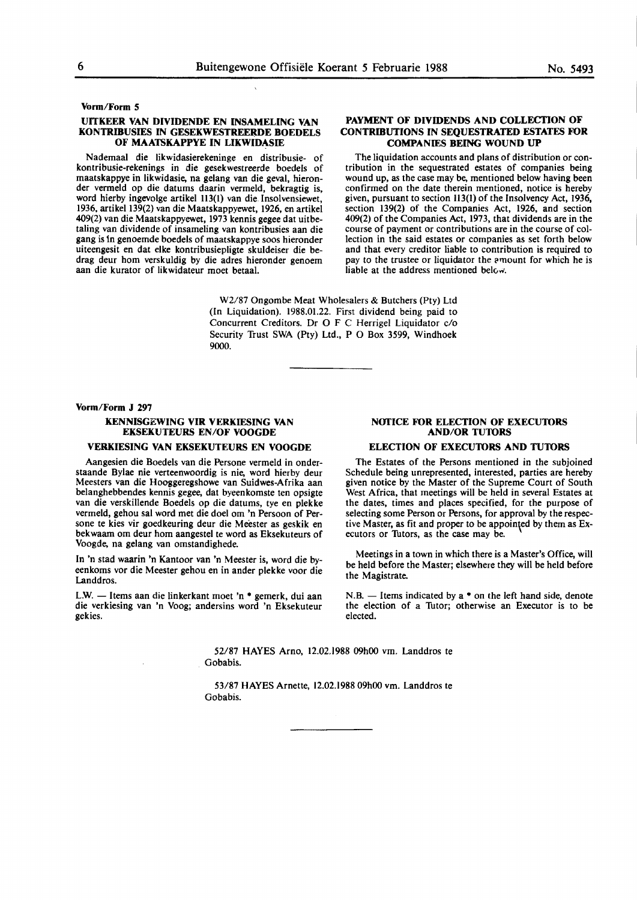**Vonn/Fonn 5** 

#### **UITKEER VAN DIVIDENDE EN INSAMELING VAN KONTRIBUSIES IN GESEKWESTREERDE BOEDELS OF MAATSKAPPYE IN LIKWIDASIE**

Nademaal die likwidasierekeninge en distribusie- of kontribusie-rekenings in die gesekwestreerde boedels of maatskappye in Iikwidasie, na gelang van die geval, hieronder vermeld op die datums daarin vermeld, bekragtig is, word hierby ingevolge artikel 113(1) van die Insolvensiewet, 1936, artikel 139(2) van die Maatskappyewet, 1926, en artikel 409(2) van die Maatskappyewet, 1973 kennis gegee dat uitbetaling van dividende of insameling van kontribusies aan die **gang** is in genoemde boedels of maatskappye soos hieronder uiteengesit en dat elke kontribusiepligte skuldeiser die bedrag deur horn verskuldig by die adres hieronder genoem aan die kurator of likwidateur moet betaal.

#### **PAYMENT OF DIVIDENDS AND COLLECTION OF CONTRIBUTIONS IN SEQUESTRATED ESTATES FOR COMPANIES BEING WOUND UP**

The liquidation accounts and plans of distribution or contribution in the sequestrated estates of companies being wound up, as the case may be, mentioned below having been confirmed on the date therein mentioned, notice is hereby given, pursuant to section 113(1) of the Insolvency Act, 1936, section 139(2) of the Companies Act, 1926, and section 409(2) of the Companies Act, 1973, that dividends are in the course of payment or contributions are in the course of collection in the said estates or companies as set forth below and that every creditor liable to contribution is required to pay to the trustee or liquidator the amount for which he is liable at the address mentioned below.

W2/87 Ongombe Meat Wholesalers & Butchers (Pty) Ltd (In Liquidation). 1988.01.22. First dividend being paid to Concurrent Creditors. Dr O F C Herrigel Liquidator c/o Security Trust SWA (Pty) Ltd., P O Box 3599, Windhoek 9000.

#### **Vorm/Form J 297**

#### **KENNISGEWING VIR VERKIESING VAN EKSEKUTEURS EN/OF VOOGDE**

#### **VERKIESING VAN EKSEKUTEURS EN VOOGDE**

Aangesien die Boedels van die Persone vermeld in onderstaande Bylae nie verteenwoordig is nie, word hierby deur Meesters van die Hooggeregshowe van Suidwes-Afrika aan belanghebbendes kennis gegee, dat byeenkomste ten opsigte van die verskillende Boedels op die datums, tye en plekke vermeld, gehou sat word met die doel om 'n Persoon of Persone te kies vir goedkeuring deur die Meester as geskik en bekwaam om deur horn aangestel te word as Eksekuteurs of Voogde, na gelang van omstandighede.

In 'n stad waarin 'n Kantoor van 'n Meester is, word die byeenkoms vor die Meester gehou en in ander **plekke** voor die Landdros.

L.W. - Items aan die linkerkant moet 'n • gemerk, dui aan die verkiesing van 'n Voog; andersins word 'n Eksekuteur gekies.

#### **NOTICE FOR ELECTION OF EXECUTORS AND/OR TU10RS**

#### **ELECTION OF EXECUTORS AND TUTORS**

The Estates of the Persons mentioned in the subjoined Schedule being unrepresented, interested, parties are hereby given notice by the Master of the Supreme Court of South West Africa, that meetings will be held in several Estates at the dates, times and places specified, for the purpose of selecting some Person or Persons, for approval by the respective Master, as fit and proper to be appointed by them as  $Ex$ ecutors or Tutors, as the case may be.

Meetings in a town in which there is a Master's Office, will be held before the Master; elsewhere they will be held before the **Magistrate.** 

N.B. - Items indicated by **a** • on the left hand side, denote the election of a Tutor; otherwise an Executor is to be elected.

52/87 HAYES Arno, 12.02.1988 09h00 vm. Landdros te Gobabis.

53/87 HAYES Arnette, 12.02.1988 09h00 vm. Landdros te Gobabis.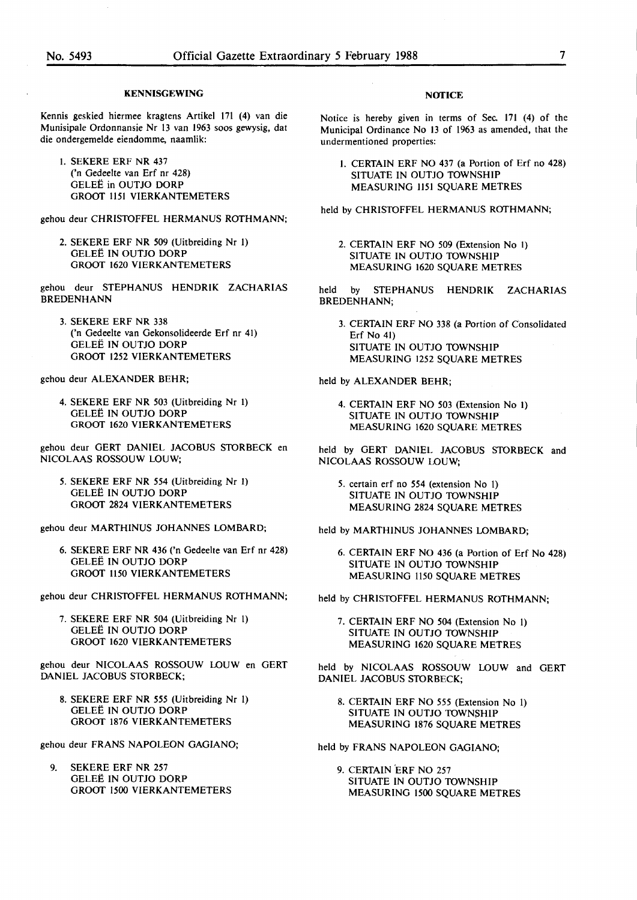#### **KENNISGEWING**

Kennis geskied hiermee kragtens Artikel 171 (4) van die Munisipale Ordonnansie Nr 13 van 1963 soos gewysig, dat die ondergemelde eiendomme. naamlik:

I. SEKERE ERF NR 437 ('n Gedeelte van Erf nr 428) GELEË in OUTJO DORP GROOT 1151 VIERKANTEMETERS

gehou deur CHRISIDFFEL HERMANUS ROTHMANN;

2. SEKERE ERF NR *509* (Uitbreiding Nr I) GELEE IN OUTJO DORP **GROOT 1620 VIERKANTEMETERS** 

gehou deur STEPHANUS HENDRIK ZACHARIAS BREDENHANN

3. SEKERE ERF NR 338 ('n Gedeelte van Gekonsolideerde Erf nr 41) GELEË IN OUTJO DORP **GROOT 1252 VIERKANTEMETERS** 

gehou deur ALEXANDER BEHR;

4. SEKERE ERF NR *503* (Uitbreiding Nr I) GELEE IN OUTJO DORP GROOT 1620 VIERKANTEMETERS

gehou deur GERT DANIEL JACOBUS SIDRBECK en NICOLAAS ROSSOUW LOUW;

*5.* SEKERE ERF NR *554* (Uitbreiding Nr I) GELEE IN OUTJO DORP GROOT 2824 VIERKANTEMETERS

gehou deur MARTHINUS JOHANNES LOMBARD;

6. SEKERE ERF NR 436 ('n Gedeelte van Erf nr 428) GELEE IN OUTJO DORP GROOT 1150 VIERKANTEMETERS

gehou deur CHRISIDFFEL HERMANUS ROTHMANN;

7. SEKERE ERF NR *504* (Uitbreiding Nr I) GELEE IN OUTJO DORP GROOT 1620 VIERKANTEMETERS

gehou deur NICOLAAS ROSSOUW LOUW en GERT DANIEL JACOBUS STORBECK;

8. SEKERE ERF NR *555* (Uitbreiding Nr I) GELEE IN OUTJO DORP GROOT 1876 VIERKANTEMETERS

gehou deur FRANS NAPOLEON GAGIANO;

9. SEKERE ERF NR 257 GELEE IN OUTJO DORP GROOT 1500 VIERKANTEMETERS

#### **NOTICE**

Notice is hereby given in terms of Sec. 171 (4) of the Municipal Ordinance No 13 of 1963 as amended, that the undermentioned properties:

I. CERTAIN ERF NO 437 (a Portion of Erf no 428) SITUATE IN OUTJO TOWNSHIP MEASURING 1151 SQUARE METRES

held by CHRISIDFFEL HERMANUS ROTHMANN;

2. CERTAIN ERF NO 509 (Extension No 1) SITUATE IN OUTJO TOWNSHIP MEASURING 1620 SQUARE METRES

held by STEPHANUS HENDRIK ZACHARIAS BREDENHANN;

3. CERTAIN ERF NO 338 (a Portion of Consolidated Erf No 41) SITUATE IN OUTJO TOWNSHIP MEASURING 1252 SQUARE METRES

held by ALEXANDER BEHR;

4. CERTAIN ERF NO *503* (Extension No I) SITUATE IN OUTJO TOWNSHIP MEASURING 1620 SQUARE METRES

held by GERT DANIEL JACOBUS STORBECK and NICOLAAS ROSSOUW LOUW;

*5.* certain erf no *554* (extension No I) SITUATE IN OUTJO **TOWNSHIP**  MEASURING 2824 SQUARE METRES

held by MARTHINUS JOHANNES LOMBARD;

6. CERTAIN ERF NO 436 (a Portion of Erf No 428) SITUATE IN OUTJO TOWNSHIP MEASURING *1150* SQUARE METRES

held by CHRISTOFFEL HERMANUS ROTHMANN;

7. CERTAIN ERF NO *504* (Extension No I) SITUATE IN OUTJO TOWNSHIP MEASURING 1620 SQUARE METRES

held by NICOLAAS ROSSOUW LOUW and GERT DANIEL JACOBUS STORBECK;

8. CERTAIN ERF NO *555* (Extension No I) SITUATE IN OUTJO TOWNSHIP MEASURING 1876 SQUARE METRES

held by FRANS NAPOLEON GAGIANO;

9. CERTAIN 'ERF NO 257 SITUATE IN OUTJO TOWNSHIP MEASURING 1500 SQUARE METRES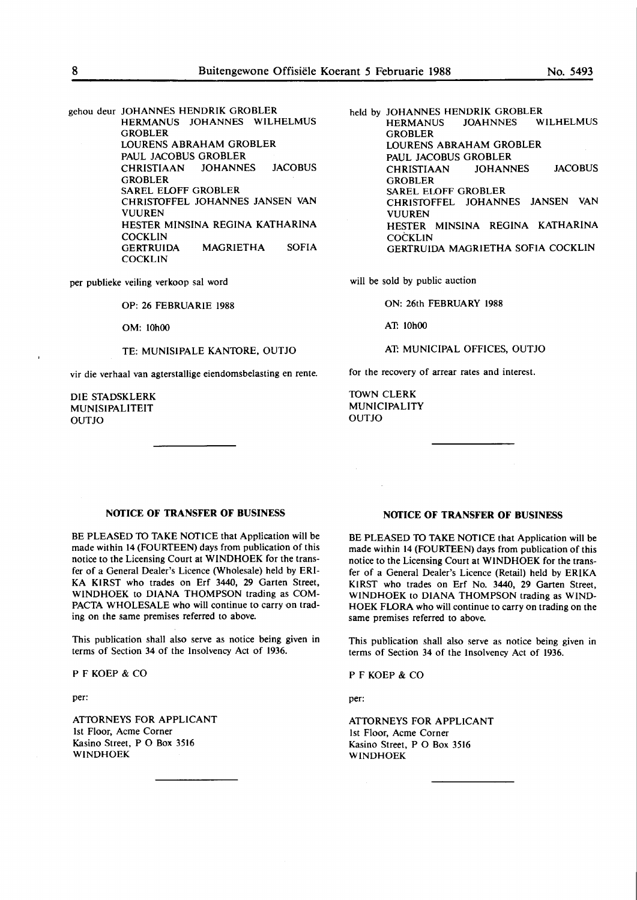gehou deur JOHANNES HENDRIK GROBLER HERMANUS JOHANNES WILHELMUS GROBLER LOURENS ABRAHAM GROBLER PAUL JACOBUS GROBLER CHRISTIAAN JOHANNES JACOBUS GROBLER SAREL ELOFF GROBLER CHRISTOFFEL JOHANNES JANSEN VAN **VUUREN** HESTER MINSINA REGINA KATHARINA COCKLIN<br>GERTRUIDA MAGRIETHA SOFIA **COCKLIN** 

per publieke veiling verkoop sat word

OP: 26 FEBRUARIE 1988

OM: 10h00

TE: MUNISIPALE KANTORE, OUTJO

vir die verhaal van agterstallige eiendomsbelasting en rente.

DIE STADSKLERK MUNISIPALITEIT OUTJO

held by JOHANNES HENDRIK GROBLER<br>HERMANUS JOAHNNES WILHELMUS **HERMANUS GROBLER** LOURENS ABRAHAM GROBLER PAUL JACOBUS GROBLER CHRISTIAAN JOHANNES JACOBUS **GROBLER** SAREL ELOFF GROBLER CHRISTOFFEL JOHANNES JANSEN VAN VUUREN HESTER MINSINA REGINA KATHARINA **COCKLIN** GERTRUIDA MAGRIETHA SOFIA COCKLIN

will be sold by public auction

**ON:** 26th **FEBRUARY 1988** 

**AT: 10h00** 

**AT: MUNICIPAL** OFFICES, OUTJO

for the recovery of arrear rates and interest.

TOWN CLERK MUNICIPALITY OUTJO

#### **NOTICE OF TRANSFER OF BUSINESS**

BE PLEASED TO TAKE NOTICE that Application will be made within 14 (FOURTEEN) days from publication of this notice to the Licensing Court at WINDHOEK for the transfer of a General Dealer's Licence (Wholesale) held by ERI-KA KIRST who trades on Erf 3440, 29 Garten Street, WINDHOEK to DIANA THOMPSON trading as COM-PACTA WHOLESALE who will continue to carry on trading on the same premises referred to above.

This publication shall also serve as notice being given in terms of Section 34 of the Insolvency Act of 1936.

PF KOEP & CO

per:

ATTORNEYS FOR APPLICANT 1st Floor, Acme Corner Kasino Street, P O Box 3516 WINDHOEK

### **NOTICE OF TRANSFER OF BUSINESS**

BE PLEASED TO TAKE NOTICE that Application will be made within 14 (FOURTEEN) days from publication of this notice to the Licensing Court at WINDHOEK for the transfer of a General Dealer's Licence (Retail) held by ERIKA KIRST who trades on Erf No. 3440, 29 Garten Street, WINDHOEK to DIANA THOMPSON trading as WIND-HOEK FLORA who will continue to carry on trading on the same premises referred to above.

This publication shall also serve as notice being given in terms of Section 34 of the Insolvency Act of 1936.

PF KOEP & CO

per:

ATTORNEYS FOR APPLICANT 1st Floor, Acme Corner Kasino Street, P O Box 3516 **WINDHOEK**